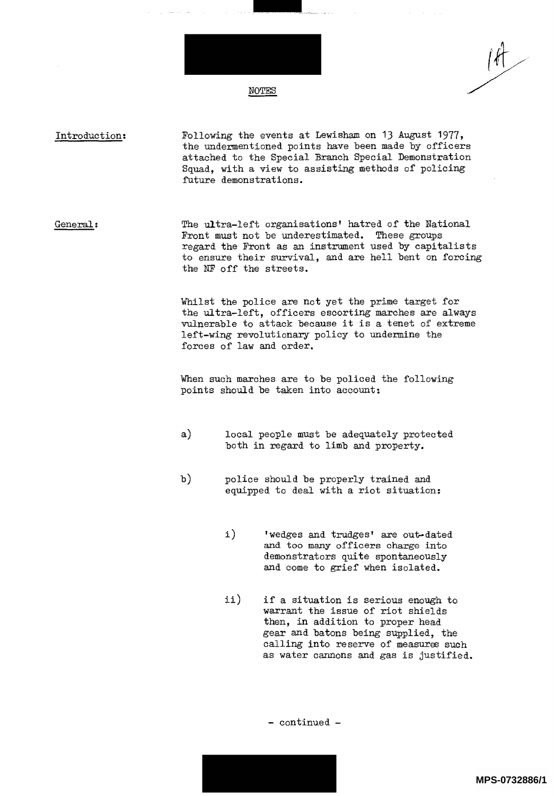

future demonstrations.

Introduction:

Following the events at Lewisham on 13 August 1977, the undermentioned points have been made by officers attached to the Special Branch Special Demonstration

Squad, with a view to assisting methods of policing

General: The ultra-left organisations' hatred of the National Front must not be underestimated. These groups regard the Front as an instrument used by capitalists to ensure their survival, and are hell bent on forcing the NF off the streets.

> Whilst the police are not yet the prime target for the ultra-left, officers escorting marches are always vulnerable to attack because it is a tenet of extreme left-wing revolutionary policy to undermine the forces of law and order.

When such marches are to be policed the following points should be taken into account:

- $a)$ local people must be adequately protected both in regard to limb and property.
- b) police should be properly trained and equipped to deal with a riot situation:
	- $\mathbf{i}$ ) 'wedges and trudges' are out-dated and too many officers charge into demonstrators quite spontaneously and come to grief when isolated.
	- $\mathtt{ii})$ if a situation is serious enough to warrant the issue of riot shields then, in addition to proper head gear and batons being supplied, the calling into reserve of measures such as water cannons and gas is justified.

- continued -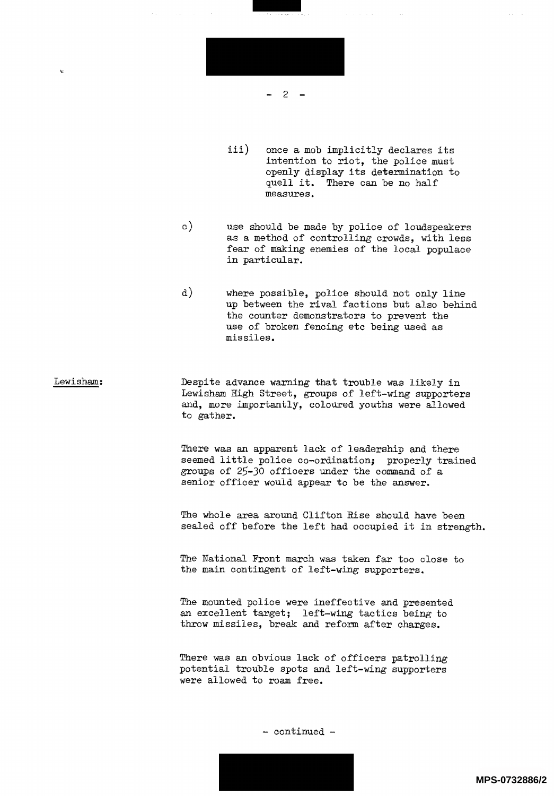

iii) once a mob implicitly declares its intention to riot, the police must openly display its determination to quell it. There can be no half measures.

 $\circ$ ) use should be made by police of loudspeakers as a method of controlling crowds, with less fear of making enemies of the local populace in particular.

a) where possible, police should not only line up between the rival factions but also behind the counter demonstrators to prevent the use of broken fencing etc being used as missiles.

Lewisham: Despite advance warning that trouble was likely in Lewisham High Street, groups of left-wing supporters and, more importantly, coloured youths were allowed to gather.

> There was an apparent lack of leadership and there seemed little police co-ordination; properly trained groups of 25-30 officers under the command of a senior officer would appear to be the answer.

The whole area around Clifton Rise should have been sealed off before the left had occupied it in strength.

The National Front march was taken far too close to the main contingent of left-wing supporters.

The mounted police were ineffective and presented an excellent target; left-wing tactics being to throw missiles, break and reform after charges.

There was an obvious lack of officers patrolling potential trouble spots and left-wing supporters were allowed to roam free.



**MPS-0732886/2**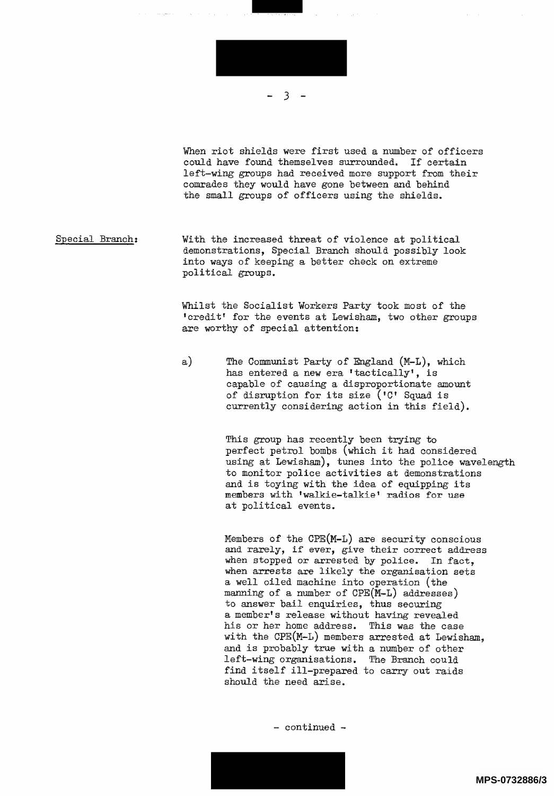

When riot shields were first used a number of officers could have found themselves surrounded. If certain left-wing groups had received more support from their comrades they would have gone between and behind the small groups of officers using the shields.

Special Branch: With the increased threat of violence at political demonstrations, Special Branch should possibly look into ways of keeping a better check on extreme political groups.

> Whilst the Socialist Workers Party took most of the credit' for the events at Lewisham, two other groups are worthy of special attention:

a) The Communist Party of England (M-L), which has entered a new era 'tactically', is capable of causing a disproportionate amount of disruption for its size (IC' Squad is currently considering action in this field).

> This group has recently been trying to perfect petrol bombs (which it had considered using at Lewisham), tunes into the police wavelength to monitor police activities at demonstrations and is toying with the idea of equipping its members with 'walkie-talkie' radios for use at political events.

Members of the CPE(M-L) are security conscious and rarely, if ever, give their correct address when stopped or arrested by police. In fact, when arrests are likely the organisation sets a well oiled machine into operation (the manning of a number of CPE(M-L) addresses) to answer bail enquiries, thus securing a member's release without having revealed his or her home address. This was the case with the CPE(M-L) members arrested at Lewisham. and is probably true with a number of other left-wing organisations. The Branch could find itself ill-prepared to carry out raids should the need arise.

- continued -